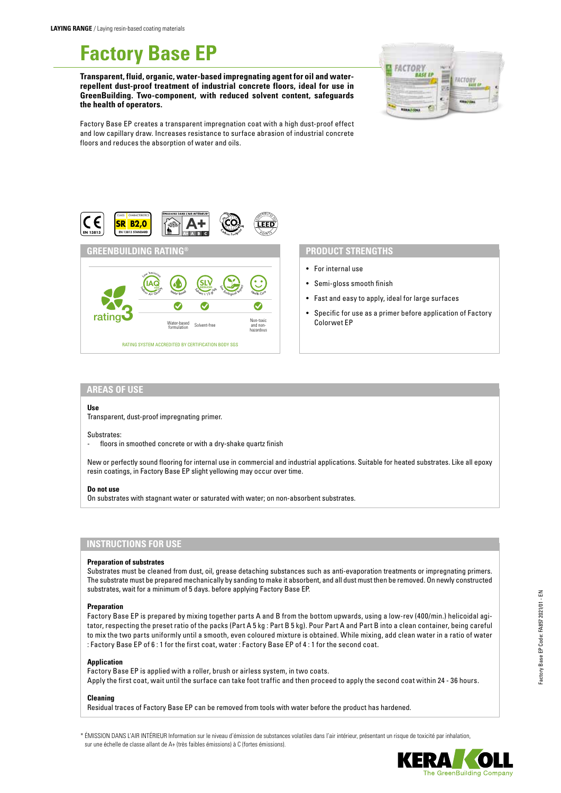# **Factory Base EP**

**Transparent, fluid, organic, water-based impregnating agent for oil and waterrepellent dust-proof treatment of industrial concrete floors, ideal for use in GreenBuilding. Two-component, with reduced solvent content, safeguards the health of operators.**



Factory Base EP creates a transparent impregnation coat with a high dust-proof effect and low capillary draw. Increases resistance to surface abrasion of industrial concrete floors and reduces the absorption of water and oils.



## **PRODUCT STRENGTHS**

- For internal use
- Semi-gloss smooth finish
- Fast and easy to apply, ideal for large surfaces
- Specific for use as a primer before application of Factory Colorwet EP

#### **AREAS OF USE**

#### **Use**

Transparent, dust-proof impregnating primer.

#### Substrates:

- floors in smoothed concrete or with a dry-shake quartz finish

New or perfectly sound flooring for internal use in commercial and industrial applications. Suitable for heated substrates. Like all epoxy resin coatings, in Factory Base EP slight yellowing may occur over time.

#### **Do not use**

On substrates with stagnant water or saturated with water; on non-absorbent substrates.

## **INSTRUCTIONS FOR USE**

#### **Preparation of substrates**

Substrates must be cleaned from dust, oil, grease detaching substances such as anti-evaporation treatments or impregnating primers. The substrate must be prepared mechanically by sanding to make it absorbent, and all dust must then be removed. On newly constructed substrates, wait for a minimum of 5 days. before applying Factory Base EP.

#### **Preparation**

Factory Base EP is prepared by mixing together parts A and B from the bottom upwards, using a low-rev (400/min.) helicoidal agitator, respecting the preset ratio of the packs (Part A 5 kg : Part B 5 kg). Pour Part A and Part B into a clean container, being careful to mix the two parts uniformly until a smooth, even coloured mixture is obtained. While mixing, add clean water in a ratio of water : Factory Base EP of 6 : 1 for the first coat, water : Factory Base EP of 4 : 1 for the second coat.

#### **Application**

Factory Base EP is applied with a roller, brush or airless system, in two coats. Apply the first coat, wait until the surface can take foot traffic and then proceed to apply the second coat within 24 - 36 hours.

#### **Cleaning**

Residual traces of Factory Base EP can be removed from tools with water before the product has hardened.

\* ÉMISSION DANS L'AIR INTÉRIEUR Information sur le niveau d'émission de substances volatiles dans l'air intérieur, présentant un risque de toxicité par inhalation, sur une échelle de classe allant de A+ (très faibles émissions) à C (fortes émissions).